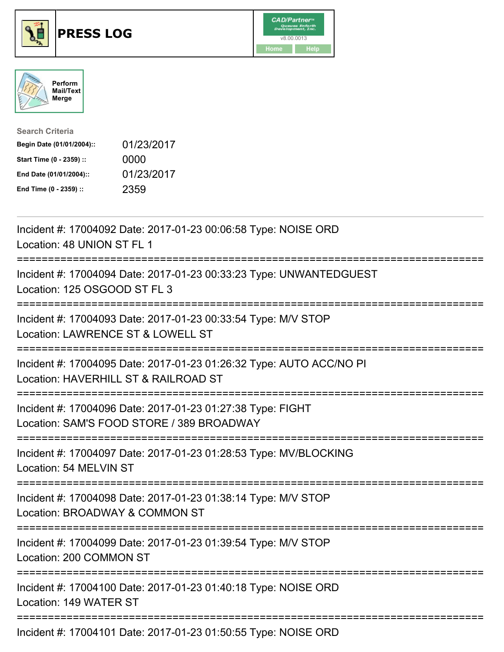





| <b>Search Criteria</b>    |            |
|---------------------------|------------|
| Begin Date (01/01/2004):: | 01/23/2017 |
| Start Time (0 - 2359) ::  | 0000       |
| End Date (01/01/2004)::   | 01/23/2017 |
| End Time (0 - 2359) ::    | 2359       |

| Incident #: 17004092 Date: 2017-01-23 00:06:58 Type: NOISE ORD<br>Location: 48 UNION ST FL 1                                                                          |
|-----------------------------------------------------------------------------------------------------------------------------------------------------------------------|
| Incident #: 17004094 Date: 2017-01-23 00:33:23 Type: UNWANTEDGUEST<br>Location: 125 OSGOOD ST FL 3<br>============                                                    |
| Incident #: 17004093 Date: 2017-01-23 00:33:54 Type: M/V STOP<br>Location: LAWRENCE ST & LOWELL ST                                                                    |
| Incident #: 17004095 Date: 2017-01-23 01:26:32 Type: AUTO ACC/NO PI<br>Location: HAVERHILL ST & RAILROAD ST<br>:=======================                               |
| Incident #: 17004096 Date: 2017-01-23 01:27:38 Type: FIGHT<br>Location: SAM'S FOOD STORE / 389 BROADWAY<br>:==================================<br>=================== |
| Incident #: 17004097 Date: 2017-01-23 01:28:53 Type: MV/BLOCKING<br>Location: 54 MELVIN ST                                                                            |
| Incident #: 17004098 Date: 2017-01-23 01:38:14 Type: M/V STOP<br>Location: BROADWAY & COMMON ST<br>============================<br>===============                    |
| Incident #: 17004099 Date: 2017-01-23 01:39:54 Type: M/V STOP<br>Location: 200 COMMON ST                                                                              |
| Incident #: 17004100 Date: 2017-01-23 01:40:18 Type: NOISE ORD<br>Location: 149 WATER ST                                                                              |
| ------------------------------------<br>Incident #: 17004101 Date: 2017-01-23 01:50:55 Type: NOISE ORD                                                                |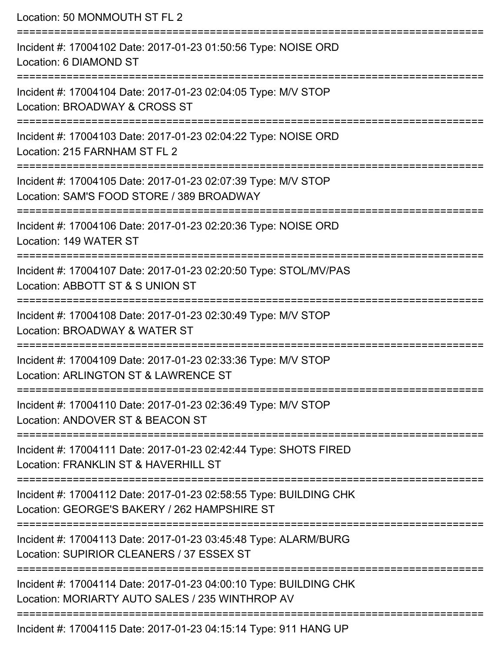| Location: 50 MONMOUTH ST FL 2                                                                                          |
|------------------------------------------------------------------------------------------------------------------------|
| Incident #: 17004102 Date: 2017-01-23 01:50:56 Type: NOISE ORD<br>Location: 6 DIAMOND ST                               |
| Incident #: 17004104 Date: 2017-01-23 02:04:05 Type: M/V STOP<br>Location: BROADWAY & CROSS ST                         |
| Incident #: 17004103 Date: 2017-01-23 02:04:22 Type: NOISE ORD<br>Location: 215 FARNHAM ST FL 2<br>------------------- |
| Incident #: 17004105 Date: 2017-01-23 02:07:39 Type: M/V STOP<br>Location: SAM'S FOOD STORE / 389 BROADWAY             |
| Incident #: 17004106 Date: 2017-01-23 02:20:36 Type: NOISE ORD<br>Location: 149 WATER ST                               |
| Incident #: 17004107 Date: 2017-01-23 02:20:50 Type: STOL/MV/PAS<br>Location: ABBOTT ST & S UNION ST                   |
| Incident #: 17004108 Date: 2017-01-23 02:30:49 Type: M/V STOP<br>Location: BROADWAY & WATER ST                         |
| Incident #: 17004109 Date: 2017-01-23 02:33:36 Type: M/V STOP<br>Location: ARLINGTON ST & LAWRENCE ST                  |
| Incident #: 17004110 Date: 2017-01-23 02:36:49 Type: M/V STOP<br>Location: ANDOVER ST & BEACON ST                      |
| Incident #: 17004111 Date: 2017-01-23 02:42:44 Type: SHOTS FIRED<br>Location: FRANKLIN ST & HAVERHILL ST               |
| Incident #: 17004112 Date: 2017-01-23 02:58:55 Type: BUILDING CHK<br>Location: GEORGE'S BAKERY / 262 HAMPSHIRE ST      |
| Incident #: 17004113 Date: 2017-01-23 03:45:48 Type: ALARM/BURG<br>Location: SUPIRIOR CLEANERS / 37 ESSEX ST           |
| Incident #: 17004114 Date: 2017-01-23 04:00:10 Type: BUILDING CHK<br>Location: MORIARTY AUTO SALES / 235 WINTHROP AV   |
| Incident #: 17004115 Date: 2017-01-23 04:15:14 Type: 911 HANG UP                                                       |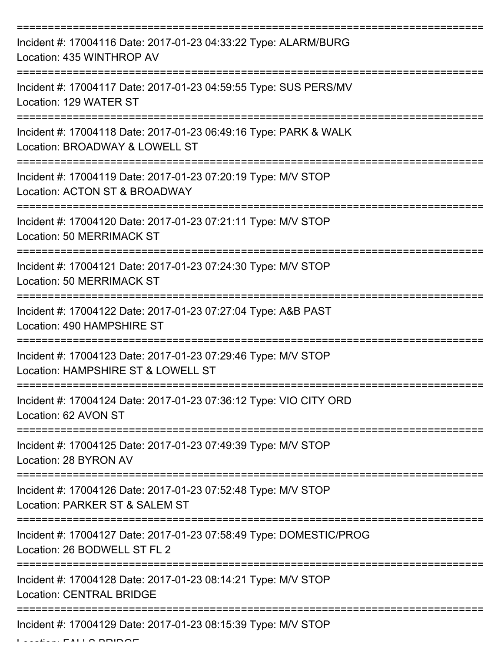| Incident #: 17004116 Date: 2017-01-23 04:33:22 Type: ALARM/BURG<br>Location: 435 WINTHROP AV        |
|-----------------------------------------------------------------------------------------------------|
| Incident #: 17004117 Date: 2017-01-23 04:59:55 Type: SUS PERS/MV<br>Location: 129 WATER ST          |
| Incident #: 17004118 Date: 2017-01-23 06:49:16 Type: PARK & WALK<br>Location: BROADWAY & LOWELL ST  |
| Incident #: 17004119 Date: 2017-01-23 07:20:19 Type: M/V STOP<br>Location: ACTON ST & BROADWAY      |
| Incident #: 17004120 Date: 2017-01-23 07:21:11 Type: M/V STOP<br><b>Location: 50 MERRIMACK ST</b>   |
| Incident #: 17004121 Date: 2017-01-23 07:24:30 Type: M/V STOP<br>Location: 50 MERRIMACK ST          |
| Incident #: 17004122 Date: 2017-01-23 07:27:04 Type: A&B PAST<br>Location: 490 HAMPSHIRE ST         |
| Incident #: 17004123 Date: 2017-01-23 07:29:46 Type: M/V STOP<br>Location: HAMPSHIRE ST & LOWELL ST |
| Incident #: 17004124 Date: 2017-01-23 07:36:12 Type: VIO CITY ORD<br>Location: 62 AVON ST           |
| Incident #: 17004125 Date: 2017-01-23 07:49:39 Type: M/V STOP<br>Location: 28 BYRON AV              |
| Incident #: 17004126 Date: 2017-01-23 07:52:48 Type: M/V STOP<br>Location: PARKER ST & SALEM ST     |
| Incident #: 17004127 Date: 2017-01-23 07:58:49 Type: DOMESTIC/PROG<br>Location: 26 BODWELL ST FL 2  |
| Incident #: 17004128 Date: 2017-01-23 08:14:21 Type: M/V STOP<br><b>Location: CENTRAL BRIDGE</b>    |
| Incident #: 17004129 Date: 2017-01-23 08:15:39 Type: M/V STOP                                       |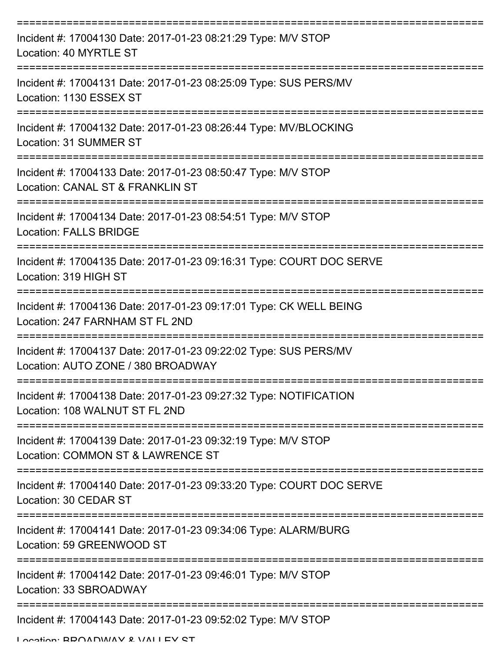| Incident #: 17004130 Date: 2017-01-23 08:21:29 Type: M/V STOP<br>Location: 40 MYRTLE ST                |
|--------------------------------------------------------------------------------------------------------|
| Incident #: 17004131 Date: 2017-01-23 08:25:09 Type: SUS PERS/MV<br>Location: 1130 ESSEX ST            |
| Incident #: 17004132 Date: 2017-01-23 08:26:44 Type: MV/BLOCKING<br>Location: 31 SUMMER ST             |
| Incident #: 17004133 Date: 2017-01-23 08:50:47 Type: M/V STOP<br>Location: CANAL ST & FRANKLIN ST      |
| Incident #: 17004134 Date: 2017-01-23 08:54:51 Type: M/V STOP<br><b>Location: FALLS BRIDGE</b>         |
| Incident #: 17004135 Date: 2017-01-23 09:16:31 Type: COURT DOC SERVE<br>Location: 319 HIGH ST          |
| Incident #: 17004136 Date: 2017-01-23 09:17:01 Type: CK WELL BEING<br>Location: 247 FARNHAM ST FL 2ND  |
| Incident #: 17004137 Date: 2017-01-23 09:22:02 Type: SUS PERS/MV<br>Location: AUTO ZONE / 380 BROADWAY |
| Incident #: 17004138 Date: 2017-01-23 09:27:32 Type: NOTIFICATION<br>Location: 108 WALNUT ST FL 2ND    |
| Incident #: 17004139 Date: 2017-01-23 09:32:19 Type: M/V STOP<br>Location: COMMON ST & LAWRENCE ST     |
| Incident #: 17004140 Date: 2017-01-23 09:33:20 Type: COURT DOC SERVE<br>Location: 30 CEDAR ST          |
| Incident #: 17004141 Date: 2017-01-23 09:34:06 Type: ALARM/BURG<br>Location: 59 GREENWOOD ST           |
| Incident #: 17004142 Date: 2017-01-23 09:46:01 Type: M/V STOP<br>Location: 33 SBROADWAY                |
| Incident #: 17004143 Date: 2017-01-23 09:52:02 Type: M/V STOP                                          |

Location: BDOADWAY & VALLEY ST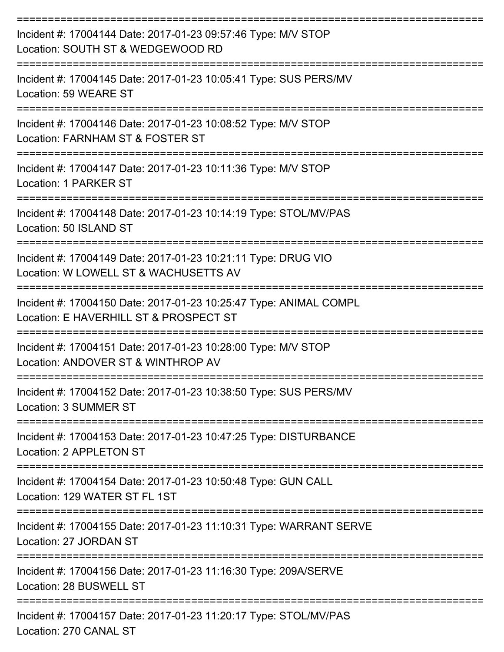| Incident #: 17004144 Date: 2017-01-23 09:57:46 Type: M/V STOP<br>Location: SOUTH ST & WEDGEWOOD RD          |
|-------------------------------------------------------------------------------------------------------------|
| Incident #: 17004145 Date: 2017-01-23 10:05:41 Type: SUS PERS/MV<br>Location: 59 WEARE ST                   |
| Incident #: 17004146 Date: 2017-01-23 10:08:52 Type: M/V STOP<br>Location: FARNHAM ST & FOSTER ST           |
| Incident #: 17004147 Date: 2017-01-23 10:11:36 Type: M/V STOP<br>Location: 1 PARKER ST                      |
| Incident #: 17004148 Date: 2017-01-23 10:14:19 Type: STOL/MV/PAS<br>Location: 50 ISLAND ST                  |
| Incident #: 17004149 Date: 2017-01-23 10:21:11 Type: DRUG VIO<br>Location: W LOWELL ST & WACHUSETTS AV      |
| Incident #: 17004150 Date: 2017-01-23 10:25:47 Type: ANIMAL COMPL<br>Location: E HAVERHILL ST & PROSPECT ST |
| Incident #: 17004151 Date: 2017-01-23 10:28:00 Type: M/V STOP<br>Location: ANDOVER ST & WINTHROP AV         |
| Incident #: 17004152 Date: 2017-01-23 10:38:50 Type: SUS PERS/MV<br>Location: 3 SUMMER ST                   |
| Incident #: 17004153 Date: 2017-01-23 10:47:25 Type: DISTURBANCE<br>Location: 2 APPLETON ST                 |
| Incident #: 17004154 Date: 2017-01-23 10:50:48 Type: GUN CALL<br>Location: 129 WATER ST FL 1ST              |
| Incident #: 17004155 Date: 2017-01-23 11:10:31 Type: WARRANT SERVE<br>Location: 27 JORDAN ST                |
| Incident #: 17004156 Date: 2017-01-23 11:16:30 Type: 209A/SERVE<br>Location: 28 BUSWELL ST                  |
| Incident #: 17004157 Date: 2017-01-23 11:20:17 Type: STOL/MV/PAS<br>Location: 270 CANAL ST                  |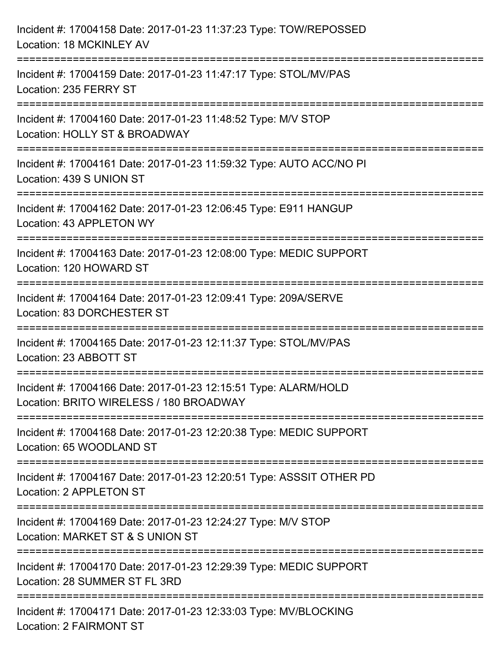| Incident #: 17004158 Date: 2017-01-23 11:37:23 Type: TOW/REPOSSED<br>Location: 18 MCKINLEY AV                                           |
|-----------------------------------------------------------------------------------------------------------------------------------------|
| ========================<br>Incident #: 17004159 Date: 2017-01-23 11:47:17 Type: STOL/MV/PAS<br>Location: 235 FERRY ST                  |
| =====================================<br>Incident #: 17004160 Date: 2017-01-23 11:48:52 Type: M/V STOP<br>Location: HOLLY ST & BROADWAY |
| Incident #: 17004161 Date: 2017-01-23 11:59:32 Type: AUTO ACC/NO PI<br>Location: 439 S UNION ST                                         |
| Incident #: 17004162 Date: 2017-01-23 12:06:45 Type: E911 HANGUP<br>Location: 43 APPLETON WY                                            |
| Incident #: 17004163 Date: 2017-01-23 12:08:00 Type: MEDIC SUPPORT<br>Location: 120 HOWARD ST                                           |
| Incident #: 17004164 Date: 2017-01-23 12:09:41 Type: 209A/SERVE<br>Location: 83 DORCHESTER ST                                           |
| Incident #: 17004165 Date: 2017-01-23 12:11:37 Type: STOL/MV/PAS<br>Location: 23 ABBOTT ST                                              |
| Incident #: 17004166 Date: 2017-01-23 12:15:51 Type: ALARM/HOLD<br>Location: BRITO WIRELESS / 180 BROADWAY                              |
| Incident #: 17004168 Date: 2017-01-23 12:20:38 Type: MEDIC SUPPORT<br>Location: 65 WOODLAND ST                                          |
| Incident #: 17004167 Date: 2017-01-23 12:20:51 Type: ASSSIT OTHER PD<br>Location: 2 APPLETON ST                                         |
| Incident #: 17004169 Date: 2017-01-23 12:24:27 Type: M/V STOP<br>Location: MARKET ST & S UNION ST                                       |
| Incident #: 17004170 Date: 2017-01-23 12:29:39 Type: MEDIC SUPPORT<br>Location: 28 SUMMER ST FL 3RD                                     |
| Incident #: 17004171 Date: 2017-01-23 12:33:03 Type: MV/BLOCKING<br><b>Location: 2 FAIRMONT ST</b>                                      |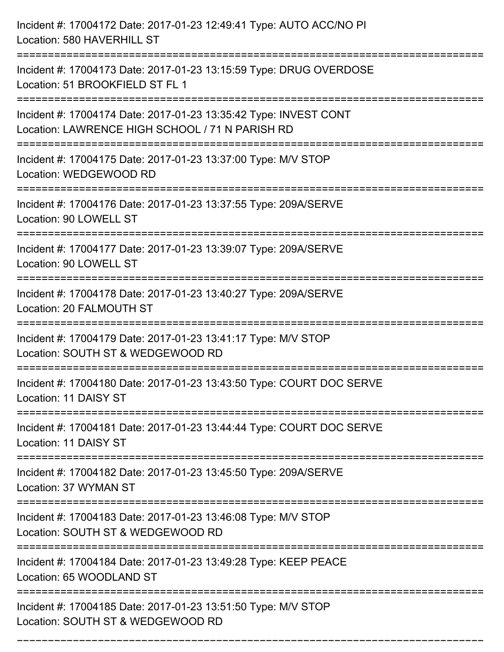| Incident #: 17004172 Date: 2017-01-23 12:49:41 Type: AUTO ACC/NO PI<br>Location: 580 HAVERHILL ST                   |
|---------------------------------------------------------------------------------------------------------------------|
| Incident #: 17004173 Date: 2017-01-23 13:15:59 Type: DRUG OVERDOSE<br>Location: 51 BROOKFIELD ST FL 1               |
| Incident #: 17004174 Date: 2017-01-23 13:35:42 Type: INVEST CONT<br>Location: LAWRENCE HIGH SCHOOL / 71 N PARISH RD |
| Incident #: 17004175 Date: 2017-01-23 13:37:00 Type: M/V STOP<br>Location: WEDGEWOOD RD                             |
| Incident #: 17004176 Date: 2017-01-23 13:37:55 Type: 209A/SERVE<br>Location: 90 LOWELL ST                           |
| Incident #: 17004177 Date: 2017-01-23 13:39:07 Type: 209A/SERVE<br>Location: 90 LOWELL ST                           |
| Incident #: 17004178 Date: 2017-01-23 13:40:27 Type: 209A/SERVE<br>Location: 20 FALMOUTH ST                         |
| Incident #: 17004179 Date: 2017-01-23 13:41:17 Type: M/V STOP<br>Location: SOUTH ST & WEDGEWOOD RD                  |
| Incident #: 17004180 Date: 2017-01-23 13:43:50 Type: COURT DOC SERVE<br>Location: 11 DAISY ST                       |
| Incident #: 17004181 Date: 2017-01-23 13:44:44 Type: COURT DOC SERVE<br>Location: 11 DAISY ST                       |
| Incident #: 17004182 Date: 2017-01-23 13:45:50 Type: 209A/SERVE<br>Location: 37 WYMAN ST                            |
| Incident #: 17004183 Date: 2017-01-23 13:46:08 Type: M/V STOP<br>Location: SOUTH ST & WEDGEWOOD RD                  |
| Incident #: 17004184 Date: 2017-01-23 13:49:28 Type: KEEP PEACE<br>Location: 65 WOODLAND ST                         |
| Incident #: 17004185 Date: 2017-01-23 13:51:50 Type: M/V STOP<br>Location: SOUTH ST & WEDGEWOOD RD                  |

===========================================================================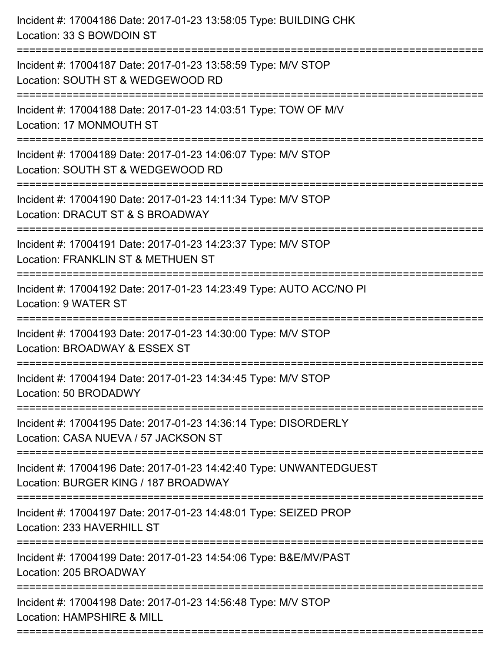| Location: 33 S BOWDOIN ST                                                                                  |
|------------------------------------------------------------------------------------------------------------|
| Incident #: 17004187 Date: 2017-01-23 13:58:59 Type: M/V STOP<br>Location: SOUTH ST & WEDGEWOOD RD         |
| Incident #: 17004188 Date: 2017-01-23 14:03:51 Type: TOW OF M/V<br>Location: 17 MONMOUTH ST                |
| Incident #: 17004189 Date: 2017-01-23 14:06:07 Type: M/V STOP<br>Location: SOUTH ST & WEDGEWOOD RD         |
| Incident #: 17004190 Date: 2017-01-23 14:11:34 Type: M/V STOP<br>Location: DRACUT ST & S BROADWAY          |
| Incident #: 17004191 Date: 2017-01-23 14:23:37 Type: M/V STOP<br>Location: FRANKLIN ST & METHUEN ST        |
| Incident #: 17004192 Date: 2017-01-23 14:23:49 Type: AUTO ACC/NO PI<br>Location: 9 WATER ST                |
| Incident #: 17004193 Date: 2017-01-23 14:30:00 Type: M/V STOP<br>Location: BROADWAY & ESSEX ST             |
| Incident #: 17004194 Date: 2017-01-23 14:34:45 Type: M/V STOP<br>Location: 50 BRODADWY                     |
| Incident #: 17004195 Date: 2017-01-23 14:36:14 Type: DISORDERLY<br>Location: CASA NUEVA / 57 JACKSON ST    |
| Incident #: 17004196 Date: 2017-01-23 14:42:40 Type: UNWANTEDGUEST<br>Location: BURGER KING / 187 BROADWAY |
| Incident #: 17004197 Date: 2017-01-23 14:48:01 Type: SEIZED PROP<br>Location: 233 HAVERHILL ST             |
| Incident #: 17004199 Date: 2017-01-23 14:54:06 Type: B&E/MV/PAST<br>Location: 205 BROADWAY                 |
| Incident #: 17004198 Date: 2017-01-23 14:56:48 Type: M/V STOP<br>Location: HAMPSHIRE & MILL                |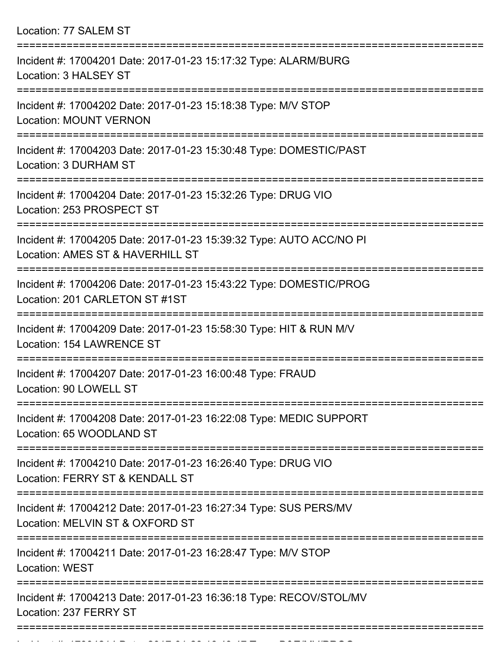| Location: 77 SALEM ST                                                                                                           |
|---------------------------------------------------------------------------------------------------------------------------------|
| Incident #: 17004201 Date: 2017-01-23 15:17:32 Type: ALARM/BURG<br>Location: 3 HALSEY ST                                        |
| Incident #: 17004202 Date: 2017-01-23 15:18:38 Type: M/V STOP<br><b>Location: MOUNT VERNON</b>                                  |
| Incident #: 17004203 Date: 2017-01-23 15:30:48 Type: DOMESTIC/PAST<br>Location: 3 DURHAM ST                                     |
| Incident #: 17004204 Date: 2017-01-23 15:32:26 Type: DRUG VIO<br>Location: 253 PROSPECT ST<br>================================= |
| Incident #: 17004205 Date: 2017-01-23 15:39:32 Type: AUTO ACC/NO PI<br>Location: AMES ST & HAVERHILL ST                         |
| Incident #: 17004206 Date: 2017-01-23 15:43:22 Type: DOMESTIC/PROG<br>Location: 201 CARLETON ST #1ST                            |
| ===============<br>Incident #: 17004209 Date: 2017-01-23 15:58:30 Type: HIT & RUN M/V<br>Location: 154 LAWRENCE ST              |
| Incident #: 17004207 Date: 2017-01-23 16:00:48 Type: FRAUD<br>Location: 90 LOWELL ST                                            |
| Incident #: 17004208 Date: 2017-01-23 16:22:08 Type: MEDIC SUPPORT<br>Location: 65 WOODLAND ST                                  |
| Incident #: 17004210 Date: 2017-01-23 16:26:40 Type: DRUG VIO<br>Location: FERRY ST & KENDALL ST                                |
| Incident #: 17004212 Date: 2017-01-23 16:27:34 Type: SUS PERS/MV<br>Location: MELVIN ST & OXFORD ST                             |
| Incident #: 17004211 Date: 2017-01-23 16:28:47 Type: M/V STOP<br>Location: WEST                                                 |
| Incident #: 17004213 Date: 2017-01-23 16:36:18 Type: RECOV/STOL/MV<br>Location: 237 FERRY ST                                    |

Incident #: 17004214 Date: 2017 01 23 16:49:47 Type: 2017 01 23 16:49:47 Type: B&E/MV/PROGRAM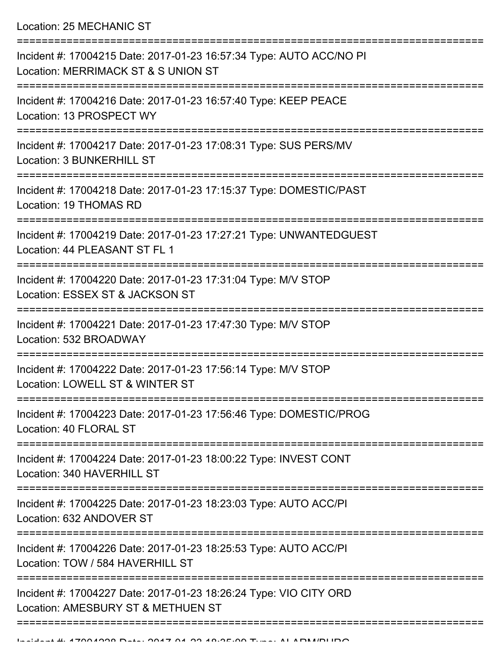Location: 25 MECHANIC ST

| Incident #: 17004215 Date: 2017-01-23 16:57:34 Type: AUTO ACC/NO PI<br>Location: MERRIMACK ST & S UNION ST                           |
|--------------------------------------------------------------------------------------------------------------------------------------|
| Incident #: 17004216 Date: 2017-01-23 16:57:40 Type: KEEP PEACE<br>Location: 13 PROSPECT WY                                          |
| Incident #: 17004217 Date: 2017-01-23 17:08:31 Type: SUS PERS/MV<br><b>Location: 3 BUNKERHILL ST</b>                                 |
| Incident #: 17004218 Date: 2017-01-23 17:15:37 Type: DOMESTIC/PAST<br>Location: 19 THOMAS RD                                         |
| Incident #: 17004219 Date: 2017-01-23 17:27:21 Type: UNWANTEDGUEST<br>Location: 44 PLEASANT ST FL 1                                  |
| Incident #: 17004220 Date: 2017-01-23 17:31:04 Type: M/V STOP<br>Location: ESSEX ST & JACKSON ST                                     |
| Incident #: 17004221 Date: 2017-01-23 17:47:30 Type: M/V STOP<br>Location: 532 BROADWAY                                              |
| Incident #: 17004222 Date: 2017-01-23 17:56:14 Type: M/V STOP<br>Location: LOWELL ST & WINTER ST                                     |
| Incident #: 17004223 Date: 2017-01-23 17:56:46 Type: DOMESTIC/PROG<br>Location: 40 FLORAL ST                                         |
| Incident #: 17004224 Date: 2017-01-23 18:00:22 Type: INVEST CONT<br>Location: 340 HAVERHILL ST                                       |
| Incident #: 17004225 Date: 2017-01-23 18:23:03 Type: AUTO ACC/PI<br>Location: 632 ANDOVER ST                                         |
| ============================<br>Incident #: 17004226 Date: 2017-01-23 18:25:53 Type: AUTO ACC/PI<br>Location: TOW / 584 HAVERHILL ST |
| Incident #: 17004227 Date: 2017-01-23 18:26:24 Type: VIO CITY ORD<br>Location: AMESBURY ST & METHUEN ST                              |
|                                                                                                                                      |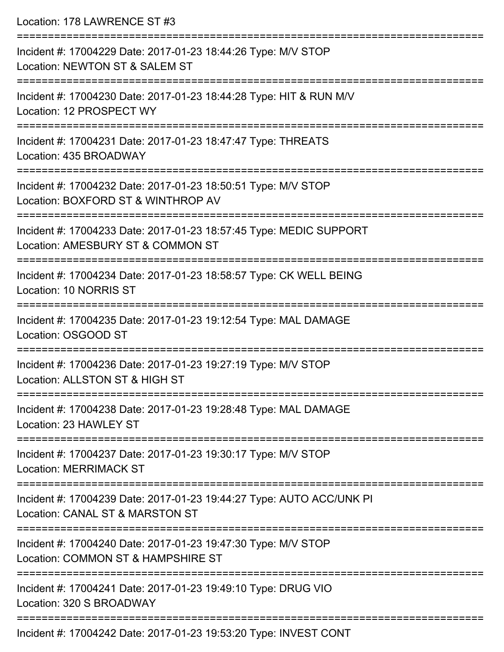| Location: 178 LAWRENCE ST #3                                                                                                    |
|---------------------------------------------------------------------------------------------------------------------------------|
| Incident #: 17004229 Date: 2017-01-23 18:44:26 Type: M/V STOP<br>Location: NEWTON ST & SALEM ST                                 |
| :========================<br>Incident #: 17004230 Date: 2017-01-23 18:44:28 Type: HIT & RUN M/V<br>Location: 12 PROSPECT WY     |
| Incident #: 17004231 Date: 2017-01-23 18:47:47 Type: THREATS<br>Location: 435 BROADWAY                                          |
| Incident #: 17004232 Date: 2017-01-23 18:50:51 Type: M/V STOP<br>Location: BOXFORD ST & WINTHROP AV                             |
| Incident #: 17004233 Date: 2017-01-23 18:57:45 Type: MEDIC SUPPORT<br>Location: AMESBURY ST & COMMON ST                         |
| Incident #: 17004234 Date: 2017-01-23 18:58:57 Type: CK WELL BEING<br>Location: 10 NORRIS ST                                    |
| Incident #: 17004235 Date: 2017-01-23 19:12:54 Type: MAL DAMAGE<br>Location: OSGOOD ST                                          |
| Incident #: 17004236 Date: 2017-01-23 19:27:19 Type: M/V STOP<br>Location: ALLSTON ST & HIGH ST                                 |
| ================================<br>Incident #: 17004238 Date: 2017-01-23 19:28:48 Type: MAL DAMAGE<br>Location: 23 HAWLEY ST   |
| Incident #: 17004237 Date: 2017-01-23 19:30:17 Type: M/V STOP<br><b>Location: MERRIMACK ST</b>                                  |
| Incident #: 17004239 Date: 2017-01-23 19:44:27 Type: AUTO ACC/UNK PI<br>Location: CANAL ST & MARSTON ST                         |
| ------------------------<br>Incident #: 17004240 Date: 2017-01-23 19:47:30 Type: M/V STOP<br>Location: COMMON ST & HAMPSHIRE ST |
| Incident #: 17004241 Date: 2017-01-23 19:49:10 Type: DRUG VIO<br>Location: 320 S BROADWAY                                       |
|                                                                                                                                 |

Incident #: 17004242 Date: 2017-01-23 19:53:20 Type: INVEST CONT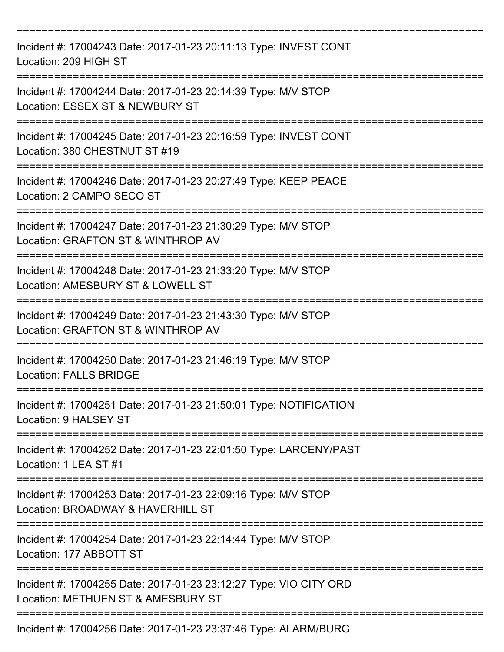| Incident #: 17004243 Date: 2017-01-23 20:11:13 Type: INVEST CONT<br>Location: 209 HIGH ST                                |
|--------------------------------------------------------------------------------------------------------------------------|
| Incident #: 17004244 Date: 2017-01-23 20:14:39 Type: M/V STOP<br>Location: ESSEX ST & NEWBURY ST                         |
| Incident #: 17004245 Date: 2017-01-23 20:16:59 Type: INVEST CONT<br>Location: 380 CHESTNUT ST #19                        |
| Incident #: 17004246 Date: 2017-01-23 20:27:49 Type: KEEP PEACE<br>Location: 2 CAMPO SECO ST                             |
| Incident #: 17004247 Date: 2017-01-23 21:30:29 Type: M/V STOP<br>Location: GRAFTON ST & WINTHROP AV<br>:================ |
| Incident #: 17004248 Date: 2017-01-23 21:33:20 Type: M/V STOP<br>Location: AMESBURY ST & LOWELL ST                       |
| Incident #: 17004249 Date: 2017-01-23 21:43:30 Type: M/V STOP<br>Location: GRAFTON ST & WINTHROP AV                      |
| Incident #: 17004250 Date: 2017-01-23 21:46:19 Type: M/V STOP<br>Location: FALLS BRIDGE                                  |
| Incident #: 17004251 Date: 2017-01-23 21:50:01 Type: NOTIFICATION<br>Location: 9 HALSEY ST                               |
| Incident #: 17004252 Date: 2017-01-23 22:01:50 Type: LARCENY/PAST<br>Location: 1 LEA ST #1                               |
| Incident #: 17004253 Date: 2017-01-23 22:09:16 Type: M/V STOP<br>Location: BROADWAY & HAVERHILL ST                       |
| Incident #: 17004254 Date: 2017-01-23 22:14:44 Type: M/V STOP<br>Location: 177 ABBOTT ST                                 |
| Incident #: 17004255 Date: 2017-01-23 23:12:27 Type: VIO CITY ORD<br>Location: METHUEN ST & AMESBURY ST                  |
| Incident #: 17004256 Date: 2017-01-23 23:37:46 Type: ALARM/BURG                                                          |